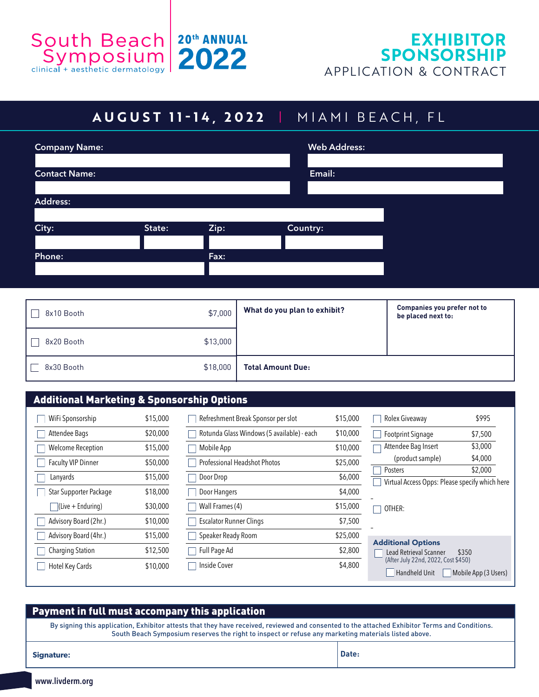

## **AUGUST 11 - 14, 2022** | MIAMI BEACH, FL

| Company Name:        |        |      |          | <b>Web Address:</b> |  |
|----------------------|--------|------|----------|---------------------|--|
|                      |        |      |          |                     |  |
| <b>Contact Name:</b> |        |      |          | Email:              |  |
|                      |        |      |          |                     |  |
| Address:             |        |      |          |                     |  |
|                      |        |      |          |                     |  |
| City:                | State: | Zip: | Country: |                     |  |
|                      |        |      |          |                     |  |
| Phone:               |        | Fax: |          |                     |  |
|                      |        |      |          |                     |  |
|                      |        |      |          |                     |  |

| 8x10 Booth | \$7,000  | What do you plan to exhibit? | <b>Companies you prefer not to</b><br>be placed next to: |
|------------|----------|------------------------------|----------------------------------------------------------|
| 8x20 Booth | \$13,000 |                              |                                                          |
| 8x30 Booth | \$18,000 | <b>Total Amount Due:</b>     |                                                          |

### Additional Marketing & Sponsorship Options

| WiFi Sponsorship          | \$15,000 | Re              |
|---------------------------|----------|-----------------|
| Attendee Bags             | \$20,000 | Ro <sup>.</sup> |
| Welcome Reception         | \$15,000 | Mo              |
| <b>Faculty VIP Dinner</b> | \$50,000 | Pro             |
| Lanyards                  | \$15,000 | Do              |
| Star Supporter Package    | \$18,000 | Do              |
| (Live + Enduring)         | \$30,000 | Wa              |
| Advisory Board (2hr.)     | \$10,000 | Esc             |
| Advisory Board (4hr.)     | \$15,000 | Sp              |
| <b>Charging Station</b>   | \$12,500 | Ful             |
| Hotel Key Cards           | \$10,000 | Ins             |
|                           |          |                 |

| Refreshment Break Sponsor per slot         | \$15,000 |
|--------------------------------------------|----------|
| Rotunda Glass Windows (5 available) - each | \$10,000 |
| Mobile App                                 | \$10,000 |
| <b>Professional Headshot Photos</b>        | \$25,000 |
| Door Drop                                  | \$6,000  |
| Door Hangers                               | \$4,000  |
| Wall Frames (4)                            | \$15,000 |
| Escalator Runner Clings                    | \$7,500  |
| Speaker Ready Room                         | \$25,000 |
| Full Page Ad                               | \$2,800  |
| Inside Cover                               | \$4,800  |
|                                            |          |

| Rolex Giveaway                                             | \$995   |
|------------------------------------------------------------|---------|
| <b>Footprint Signage</b>                                   | \$7,500 |
| Attendee Bag Insert                                        | \$3,000 |
| (product sample)                                           | \$4,000 |
| Posters                                                    | \$2,000 |
| Virtual Access Opps: Please specify which here             |         |
| OTHER:                                                     |         |
| <b>Additional Options</b><br><b>Lead Retrieval Scanner</b> | \$350   |

| -Lead Retrieval Scanner             | \$350                |
|-------------------------------------|----------------------|
| (After July 22nd, 2022, Cost \$450) |                      |
| <b>Handheld Unit</b>                | Mobile App (3 Users) |

#### Payment in full must accompany this application

By signing this application, Exhibitor attests that they have received, reviewed and consented to the attached Exhibitor Terms and Conditions. South Beach Symposium reserves the right to inspect or refuse any marketing materials listed above.

**Signature:**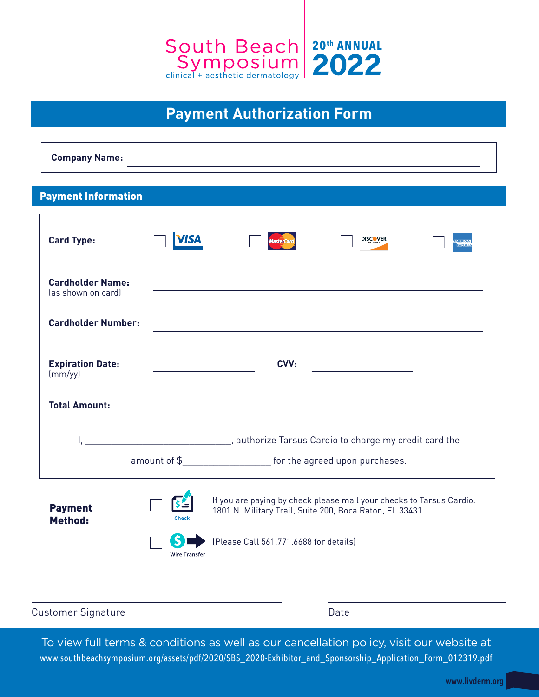

## **Payment Authorization Form**

**Company Name:** 

#### Payment Information

| <b>Card Type:</b>                             | /IS/                 |                                                                                                                                 | <b>DISCOVER</b> |  |  |
|-----------------------------------------------|----------------------|---------------------------------------------------------------------------------------------------------------------------------|-----------------|--|--|
| <b>Cardholder Name:</b><br>(as shown on card) |                      |                                                                                                                                 |                 |  |  |
| <b>Cardholder Number:</b>                     |                      |                                                                                                                                 |                 |  |  |
| <b>Expiration Date:</b><br>$\frac{m}{y}$      |                      | CVV:                                                                                                                            |                 |  |  |
| <b>Total Amount:</b>                          |                      |                                                                                                                                 |                 |  |  |
|                                               |                      | amount of \$______________________ for the agreed upon purchases.                                                               |                 |  |  |
| <b>Payment</b><br>Method:                     | Check                | If you are paying by check please mail your checks to Tarsus Cardio.<br>1801 N. Military Trail, Suite 200, Boca Raton, FL 33431 |                 |  |  |
|                                               | <b>Wire Transfer</b> | (Please Call 561.771.6688 for details)                                                                                          |                 |  |  |

Customer Signature **Date** Date

To view full terms & conditions as well as our cancellation policy, visit our website at www.southbeachsymposium.org/assets/pdf/2020/SBS\_2020-Exhibitor\_and\_Sponsorship\_Application\_Form\_012319.pdf

www.livderm.org